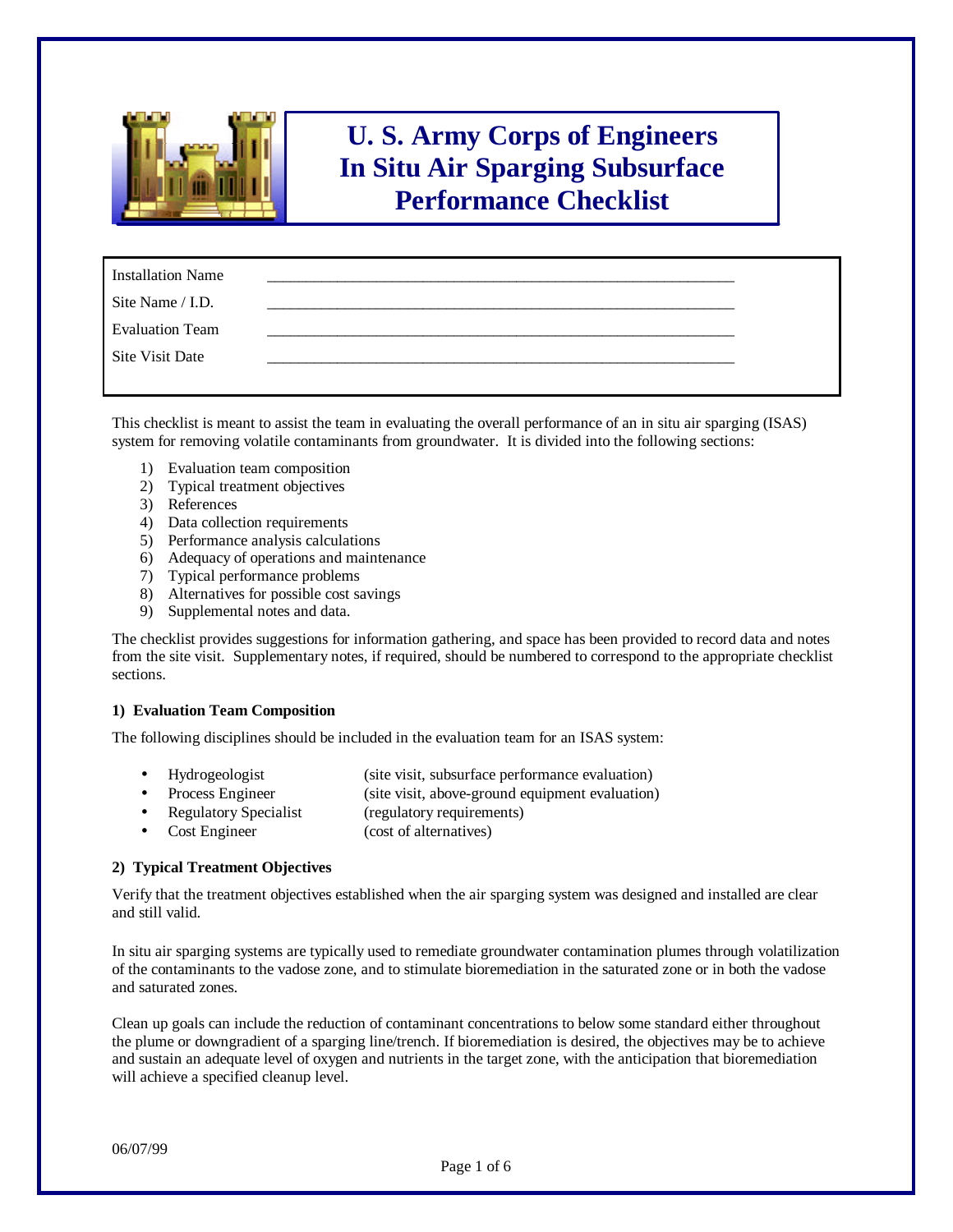

# **U. S. Army Corps of Engineers In Situ Air Sparging Subsurface Performance Checklist**

| <b>Installation Name</b> |  |
|--------------------------|--|
| Site Name / I.D.         |  |
| <b>Evaluation Team</b>   |  |
| <b>Site Visit Date</b>   |  |
|                          |  |

This checklist is meant to assist the team in evaluating the overall performance of an in situ air sparging (ISAS) system for removing volatile contaminants from groundwater. It is divided into the following sections:

- 1) Evaluation team composition
- 2) Typical treatment objectives
- 3) References
- 4) Data collection requirements
- 5) Performance analysis calculations
- 6) Adequacy of operations and maintenance
- 7) Typical performance problems
- 8) Alternatives for possible cost savings
- 9) Supplemental notes and data.

The checklist provides suggestions for information gathering, and space has been provided to record data and notes from the site visit. Supplementary notes, if required, should be numbered to correspond to the appropriate checklist sections.

## **1) Evaluation Team Composition**

The following disciplines should be included in the evaluation team for an ISAS system:

- Hydrogeologist (site visit, subsurface performance evaluation)
	- Process Engineer (site visit, above-ground equipment evaluation)
- Regulatory Specialist (regulatory requirements)
- Cost Engineer (cost of alternatives)

## **2) Typical Treatment Objectives**

Verify that the treatment objectives established when the air sparging system was designed and installed are clear and still valid.

In situ air sparging systems are typically used to remediate groundwater contamination plumes through volatilization of the contaminants to the vadose zone, and to stimulate bioremediation in the saturated zone or in both the vadose and saturated zones.

Clean up goals can include the reduction of contaminant concentrations to below some standard either throughout the plume or downgradient of a sparging line/trench. If bioremediation is desired, the objectives may be to achieve and sustain an adequate level of oxygen and nutrients in the target zone, with the anticipation that bioremediation will achieve a specified cleanup level.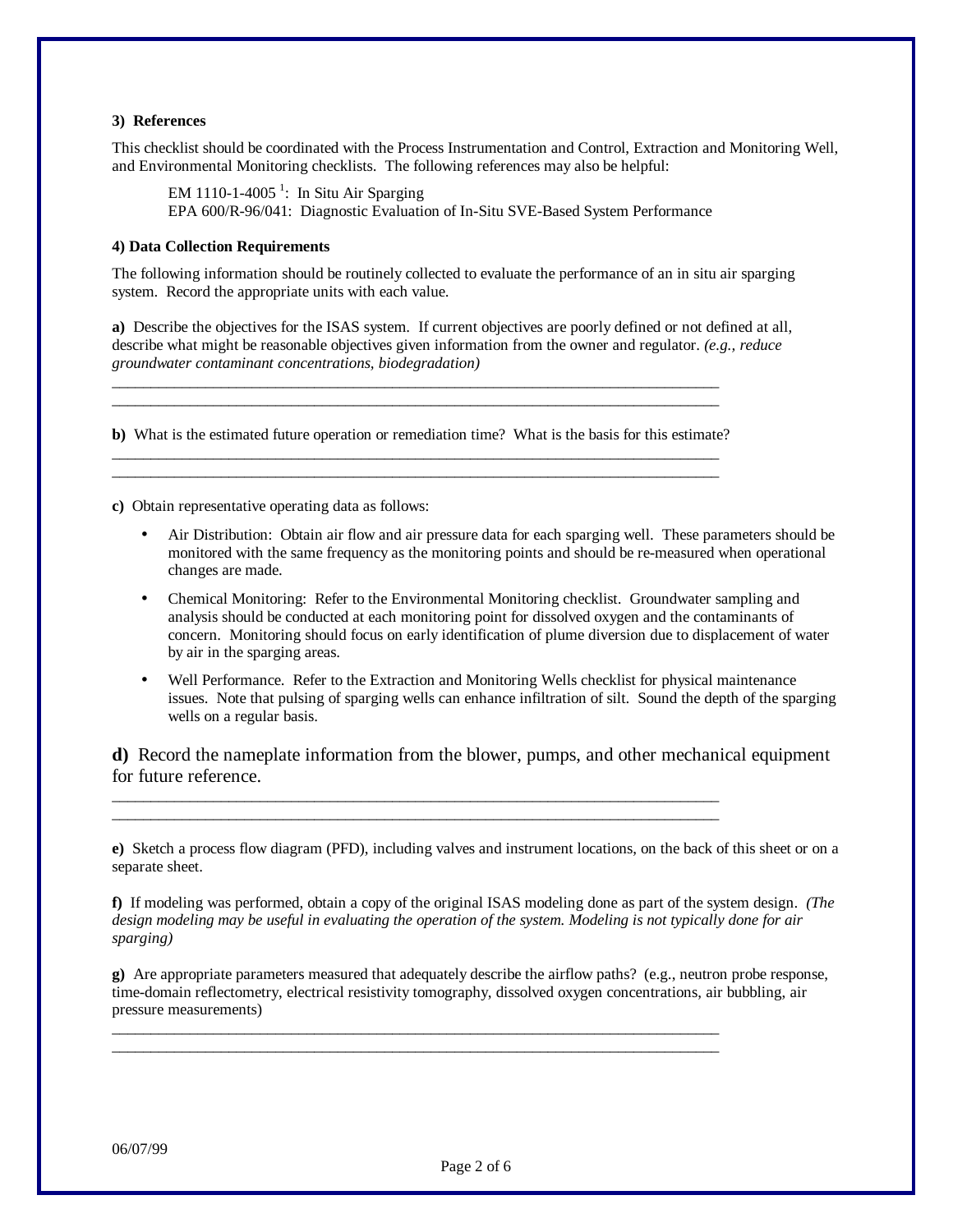## **3) References**

This checklist should be coordinated with the Process Instrumentation and Control, Extraction and Monitoring Well, and Environmental Monitoring checklists. The following references may also be helpful:

EM 1110-1-4005<sup>1</sup>: In Situ Air Sparging EPA 600/R-96/041: Diagnostic Evaluation of In-Situ SVE-Based System Performance

## **4) Data Collection Requirements**

The following information should be routinely collected to evaluate the performance of an in situ air sparging system. Record the appropriate units with each value.

**a)** Describe the objectives for the ISAS system. If current objectives are poorly defined or not defined at all, describe what might be reasonable objectives given information from the owner and regulator. *(e.g., reduce groundwater contaminant concentrations, biodegradation)*

**b)** What is the estimated future operation or remediation time? What is the basis for this estimate? \_\_\_\_\_\_\_\_\_\_\_\_\_\_\_\_\_\_\_\_\_\_\_\_\_\_\_\_\_\_\_\_\_\_\_\_\_\_\_\_\_\_\_\_\_\_\_\_\_\_\_\_\_\_\_\_\_\_\_\_\_\_\_\_\_\_\_\_\_\_\_\_\_\_\_\_\_\_

\_\_\_\_\_\_\_\_\_\_\_\_\_\_\_\_\_\_\_\_\_\_\_\_\_\_\_\_\_\_\_\_\_\_\_\_\_\_\_\_\_\_\_\_\_\_\_\_\_\_\_\_\_\_\_\_\_\_\_\_\_\_\_\_\_\_\_\_\_\_\_\_\_\_\_\_\_\_

\_\_\_\_\_\_\_\_\_\_\_\_\_\_\_\_\_\_\_\_\_\_\_\_\_\_\_\_\_\_\_\_\_\_\_\_\_\_\_\_\_\_\_\_\_\_\_\_\_\_\_\_\_\_\_\_\_\_\_\_\_\_\_\_\_\_\_\_\_\_\_\_\_\_\_\_\_\_ \_\_\_\_\_\_\_\_\_\_\_\_\_\_\_\_\_\_\_\_\_\_\_\_\_\_\_\_\_\_\_\_\_\_\_\_\_\_\_\_\_\_\_\_\_\_\_\_\_\_\_\_\_\_\_\_\_\_\_\_\_\_\_\_\_\_\_\_\_\_\_\_\_\_\_\_\_\_

**c)** Obtain representative operating data as follows:

- Air Distribution: Obtain air flow and air pressure data for each sparging well. These parameters should be monitored with the same frequency as the monitoring points and should be re-measured when operational changes are made.
- Chemical Monitoring: Refer to the Environmental Monitoring checklist. Groundwater sampling and analysis should be conducted at each monitoring point for dissolved oxygen and the contaminants of concern. Monitoring should focus on early identification of plume diversion due to displacement of water by air in the sparging areas.
- Well Performance. Refer to the Extraction and Monitoring Wells checklist for physical maintenance issues. Note that pulsing of sparging wells can enhance infiltration of silt. Sound the depth of the sparging wells on a regular basis.

**d)** Record the nameplate information from the blower, pumps, and other mechanical equipment for future reference.

\_\_\_\_\_\_\_\_\_\_\_\_\_\_\_\_\_\_\_\_\_\_\_\_\_\_\_\_\_\_\_\_\_\_\_\_\_\_\_\_\_\_\_\_\_\_\_\_\_\_\_\_\_\_\_\_\_\_\_\_\_\_\_\_\_\_\_\_\_\_\_\_\_\_\_\_\_\_ \_\_\_\_\_\_\_\_\_\_\_\_\_\_\_\_\_\_\_\_\_\_\_\_\_\_\_\_\_\_\_\_\_\_\_\_\_\_\_\_\_\_\_\_\_\_\_\_\_\_\_\_\_\_\_\_\_\_\_\_\_\_\_\_\_\_\_\_\_\_\_\_\_\_\_\_\_\_

\_\_\_\_\_\_\_\_\_\_\_\_\_\_\_\_\_\_\_\_\_\_\_\_\_\_\_\_\_\_\_\_\_\_\_\_\_\_\_\_\_\_\_\_\_\_\_\_\_\_\_\_\_\_\_\_\_\_\_\_\_\_\_\_\_\_\_\_\_\_\_\_\_\_\_\_\_\_ \_\_\_\_\_\_\_\_\_\_\_\_\_\_\_\_\_\_\_\_\_\_\_\_\_\_\_\_\_\_\_\_\_\_\_\_\_\_\_\_\_\_\_\_\_\_\_\_\_\_\_\_\_\_\_\_\_\_\_\_\_\_\_\_\_\_\_\_\_\_\_\_\_\_\_\_\_\_

**e)** Sketch a process flow diagram (PFD), including valves and instrument locations, on the back of this sheet or on a separate sheet.

**f)** If modeling was performed, obtain a copy of the original ISAS modeling done as part of the system design. *(The design modeling may be useful in evaluating the operation of the system. Modeling is not typically done for air sparging)*

**g)** Are appropriate parameters measured that adequately describe the airflow paths? (e.g., neutron probe response, time-domain reflectometry, electrical resistivity tomography, dissolved oxygen concentrations, air bubbling, air pressure measurements)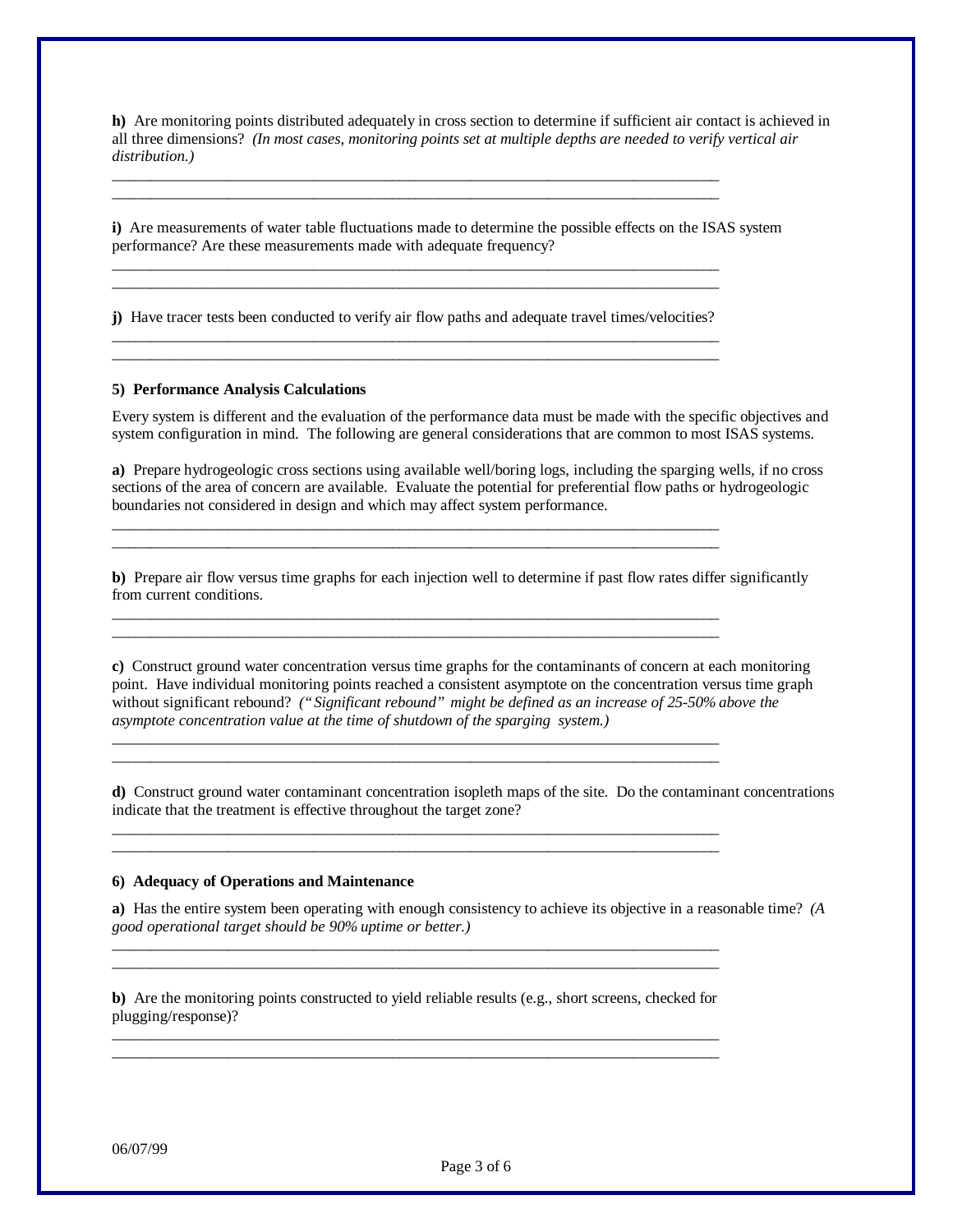**h)** Are monitoring points distributed adequately in cross section to determine if sufficient air contact is achieved in all three dimensions? *(In most cases, monitoring points set at multiple depths are needed to verify vertical air distribution.)*

**i)** Are measurements of water table fluctuations made to determine the possible effects on the ISAS system performance? Are these measurements made with adequate frequency?

**j)** Have tracer tests been conducted to verify air flow paths and adequate travel times/velocities? \_\_\_\_\_\_\_\_\_\_\_\_\_\_\_\_\_\_\_\_\_\_\_\_\_\_\_\_\_\_\_\_\_\_\_\_\_\_\_\_\_\_\_\_\_\_\_\_\_\_\_\_\_\_\_\_\_\_\_\_\_\_\_\_\_\_\_\_\_\_\_\_\_\_\_\_\_\_

\_\_\_\_\_\_\_\_\_\_\_\_\_\_\_\_\_\_\_\_\_\_\_\_\_\_\_\_\_\_\_\_\_\_\_\_\_\_\_\_\_\_\_\_\_\_\_\_\_\_\_\_\_\_\_\_\_\_\_\_\_\_\_\_\_\_\_\_\_\_\_\_\_\_\_\_\_\_

\_\_\_\_\_\_\_\_\_\_\_\_\_\_\_\_\_\_\_\_\_\_\_\_\_\_\_\_\_\_\_\_\_\_\_\_\_\_\_\_\_\_\_\_\_\_\_\_\_\_\_\_\_\_\_\_\_\_\_\_\_\_\_\_\_\_\_\_\_\_\_\_\_\_\_\_\_\_ \_\_\_\_\_\_\_\_\_\_\_\_\_\_\_\_\_\_\_\_\_\_\_\_\_\_\_\_\_\_\_\_\_\_\_\_\_\_\_\_\_\_\_\_\_\_\_\_\_\_\_\_\_\_\_\_\_\_\_\_\_\_\_\_\_\_\_\_\_\_\_\_\_\_\_\_\_\_

\_\_\_\_\_\_\_\_\_\_\_\_\_\_\_\_\_\_\_\_\_\_\_\_\_\_\_\_\_\_\_\_\_\_\_\_\_\_\_\_\_\_\_\_\_\_\_\_\_\_\_\_\_\_\_\_\_\_\_\_\_\_\_\_\_\_\_\_\_\_\_\_\_\_\_\_\_\_ \_\_\_\_\_\_\_\_\_\_\_\_\_\_\_\_\_\_\_\_\_\_\_\_\_\_\_\_\_\_\_\_\_\_\_\_\_\_\_\_\_\_\_\_\_\_\_\_\_\_\_\_\_\_\_\_\_\_\_\_\_\_\_\_\_\_\_\_\_\_\_\_\_\_\_\_\_\_

\_\_\_\_\_\_\_\_\_\_\_\_\_\_\_\_\_\_\_\_\_\_\_\_\_\_\_\_\_\_\_\_\_\_\_\_\_\_\_\_\_\_\_\_\_\_\_\_\_\_\_\_\_\_\_\_\_\_\_\_\_\_\_\_\_\_\_\_\_\_\_\_\_\_\_\_\_\_ \_\_\_\_\_\_\_\_\_\_\_\_\_\_\_\_\_\_\_\_\_\_\_\_\_\_\_\_\_\_\_\_\_\_\_\_\_\_\_\_\_\_\_\_\_\_\_\_\_\_\_\_\_\_\_\_\_\_\_\_\_\_\_\_\_\_\_\_\_\_\_\_\_\_\_\_\_\_

\_\_\_\_\_\_\_\_\_\_\_\_\_\_\_\_\_\_\_\_\_\_\_\_\_\_\_\_\_\_\_\_\_\_\_\_\_\_\_\_\_\_\_\_\_\_\_\_\_\_\_\_\_\_\_\_\_\_\_\_\_\_\_\_\_\_\_\_\_\_\_\_\_\_\_\_\_\_ \_\_\_\_\_\_\_\_\_\_\_\_\_\_\_\_\_\_\_\_\_\_\_\_\_\_\_\_\_\_\_\_\_\_\_\_\_\_\_\_\_\_\_\_\_\_\_\_\_\_\_\_\_\_\_\_\_\_\_\_\_\_\_\_\_\_\_\_\_\_\_\_\_\_\_\_\_\_

\_\_\_\_\_\_\_\_\_\_\_\_\_\_\_\_\_\_\_\_\_\_\_\_\_\_\_\_\_\_\_\_\_\_\_\_\_\_\_\_\_\_\_\_\_\_\_\_\_\_\_\_\_\_\_\_\_\_\_\_\_\_\_\_\_\_\_\_\_\_\_\_\_\_\_\_\_\_ \_\_\_\_\_\_\_\_\_\_\_\_\_\_\_\_\_\_\_\_\_\_\_\_\_\_\_\_\_\_\_\_\_\_\_\_\_\_\_\_\_\_\_\_\_\_\_\_\_\_\_\_\_\_\_\_\_\_\_\_\_\_\_\_\_\_\_\_\_\_\_\_\_\_\_\_\_\_

\_\_\_\_\_\_\_\_\_\_\_\_\_\_\_\_\_\_\_\_\_\_\_\_\_\_\_\_\_\_\_\_\_\_\_\_\_\_\_\_\_\_\_\_\_\_\_\_\_\_\_\_\_\_\_\_\_\_\_\_\_\_\_\_\_\_\_\_\_\_\_\_\_\_\_\_\_\_ \_\_\_\_\_\_\_\_\_\_\_\_\_\_\_\_\_\_\_\_\_\_\_\_\_\_\_\_\_\_\_\_\_\_\_\_\_\_\_\_\_\_\_\_\_\_\_\_\_\_\_\_\_\_\_\_\_\_\_\_\_\_\_\_\_\_\_\_\_\_\_\_\_\_\_\_\_\_

#### **5) Performance Analysis Calculations**

Every system is different and the evaluation of the performance data must be made with the specific objectives and system configuration in mind. The following are general considerations that are common to most ISAS systems.

**a)** Prepare hydrogeologic cross sections using available well/boring logs, including the sparging wells, if no cross sections of the area of concern are available. Evaluate the potential for preferential flow paths or hydrogeologic boundaries not considered in design and which may affect system performance.

**b)** Prepare air flow versus time graphs for each injection well to determine if past flow rates differ significantly from current conditions.

**c)** Construct ground water concentration versus time graphs for the contaminants of concern at each monitoring point. Have individual monitoring points reached a consistent asymptote on the concentration versus time graph without significant rebound? *("Significant rebound" might be defined as an increase of 25-50% above the asymptote concentration value at the time of shutdown of the sparging system.)*

**d)** Construct ground water contaminant concentration isopleth maps of the site. Do the contaminant concentrations indicate that the treatment is effective throughout the target zone?

#### **6) Adequacy of Operations and Maintenance**

**a)** Has the entire system been operating with enough consistency to achieve its objective in a reasonable time? *(A good operational target should be 90% uptime or better.)*

**b)** Are the monitoring points constructed to yield reliable results (e.g., short screens, checked for plugging/response)? \_\_\_\_\_\_\_\_\_\_\_\_\_\_\_\_\_\_\_\_\_\_\_\_\_\_\_\_\_\_\_\_\_\_\_\_\_\_\_\_\_\_\_\_\_\_\_\_\_\_\_\_\_\_\_\_\_\_\_\_\_\_\_\_\_\_\_\_\_\_\_\_\_\_\_\_\_\_

\_\_\_\_\_\_\_\_\_\_\_\_\_\_\_\_\_\_\_\_\_\_\_\_\_\_\_\_\_\_\_\_\_\_\_\_\_\_\_\_\_\_\_\_\_\_\_\_\_\_\_\_\_\_\_\_\_\_\_\_\_\_\_\_\_\_\_\_\_\_\_\_\_\_\_\_\_\_

\_\_\_\_\_\_\_\_\_\_\_\_\_\_\_\_\_\_\_\_\_\_\_\_\_\_\_\_\_\_\_\_\_\_\_\_\_\_\_\_\_\_\_\_\_\_\_\_\_\_\_\_\_\_\_\_\_\_\_\_\_\_\_\_\_\_\_\_\_\_\_\_\_\_\_\_\_\_ \_\_\_\_\_\_\_\_\_\_\_\_\_\_\_\_\_\_\_\_\_\_\_\_\_\_\_\_\_\_\_\_\_\_\_\_\_\_\_\_\_\_\_\_\_\_\_\_\_\_\_\_\_\_\_\_\_\_\_\_\_\_\_\_\_\_\_\_\_\_\_\_\_\_\_\_\_\_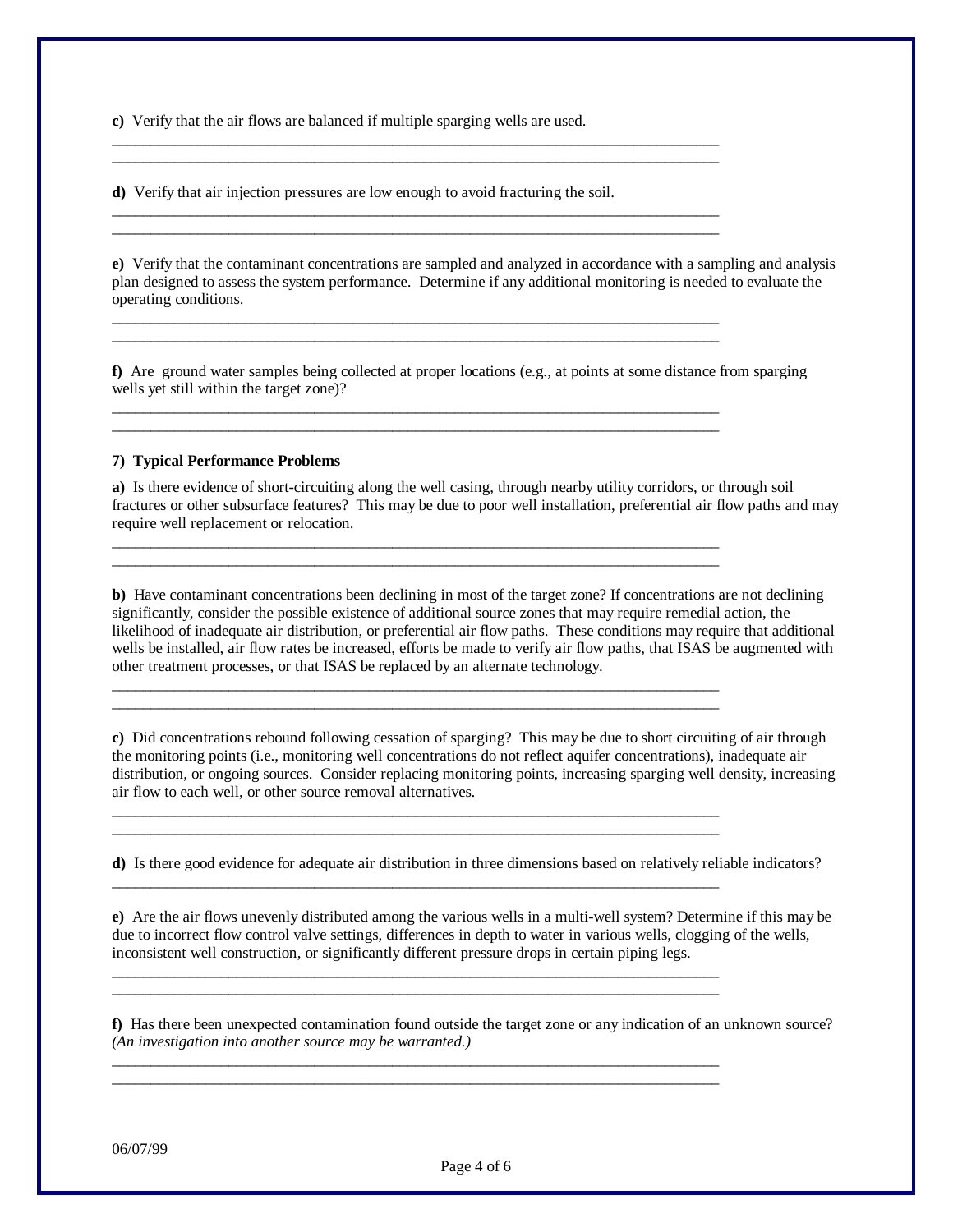**c)** Verify that the air flows are balanced if multiple sparging wells are used.

**d)** Verify that air injection pressures are low enough to avoid fracturing the soil.

\_\_\_\_\_\_\_\_\_\_\_\_\_\_\_\_\_\_\_\_\_\_\_\_\_\_\_\_\_\_\_\_\_\_\_\_\_\_\_\_\_\_\_\_\_\_\_\_\_\_\_\_\_\_\_\_\_\_\_\_\_\_\_\_\_\_\_\_\_\_\_\_\_\_\_\_\_\_ \_\_\_\_\_\_\_\_\_\_\_\_\_\_\_\_\_\_\_\_\_\_\_\_\_\_\_\_\_\_\_\_\_\_\_\_\_\_\_\_\_\_\_\_\_\_\_\_\_\_\_\_\_\_\_\_\_\_\_\_\_\_\_\_\_\_\_\_\_\_\_\_\_\_\_\_\_\_

\_\_\_\_\_\_\_\_\_\_\_\_\_\_\_\_\_\_\_\_\_\_\_\_\_\_\_\_\_\_\_\_\_\_\_\_\_\_\_\_\_\_\_\_\_\_\_\_\_\_\_\_\_\_\_\_\_\_\_\_\_\_\_\_\_\_\_\_\_\_\_\_\_\_\_\_\_\_ \_\_\_\_\_\_\_\_\_\_\_\_\_\_\_\_\_\_\_\_\_\_\_\_\_\_\_\_\_\_\_\_\_\_\_\_\_\_\_\_\_\_\_\_\_\_\_\_\_\_\_\_\_\_\_\_\_\_\_\_\_\_\_\_\_\_\_\_\_\_\_\_\_\_\_\_\_\_

\_\_\_\_\_\_\_\_\_\_\_\_\_\_\_\_\_\_\_\_\_\_\_\_\_\_\_\_\_\_\_\_\_\_\_\_\_\_\_\_\_\_\_\_\_\_\_\_\_\_\_\_\_\_\_\_\_\_\_\_\_\_\_\_\_\_\_\_\_\_\_\_\_\_\_\_\_\_ \_\_\_\_\_\_\_\_\_\_\_\_\_\_\_\_\_\_\_\_\_\_\_\_\_\_\_\_\_\_\_\_\_\_\_\_\_\_\_\_\_\_\_\_\_\_\_\_\_\_\_\_\_\_\_\_\_\_\_\_\_\_\_\_\_\_\_\_\_\_\_\_\_\_\_\_\_\_

\_\_\_\_\_\_\_\_\_\_\_\_\_\_\_\_\_\_\_\_\_\_\_\_\_\_\_\_\_\_\_\_\_\_\_\_\_\_\_\_\_\_\_\_\_\_\_\_\_\_\_\_\_\_\_\_\_\_\_\_\_\_\_\_\_\_\_\_\_\_\_\_\_\_\_\_\_\_ \_\_\_\_\_\_\_\_\_\_\_\_\_\_\_\_\_\_\_\_\_\_\_\_\_\_\_\_\_\_\_\_\_\_\_\_\_\_\_\_\_\_\_\_\_\_\_\_\_\_\_\_\_\_\_\_\_\_\_\_\_\_\_\_\_\_\_\_\_\_\_\_\_\_\_\_\_\_

\_\_\_\_\_\_\_\_\_\_\_\_\_\_\_\_\_\_\_\_\_\_\_\_\_\_\_\_\_\_\_\_\_\_\_\_\_\_\_\_\_\_\_\_\_\_\_\_\_\_\_\_\_\_\_\_\_\_\_\_\_\_\_\_\_\_\_\_\_\_\_\_\_\_\_\_\_\_ \_\_\_\_\_\_\_\_\_\_\_\_\_\_\_\_\_\_\_\_\_\_\_\_\_\_\_\_\_\_\_\_\_\_\_\_\_\_\_\_\_\_\_\_\_\_\_\_\_\_\_\_\_\_\_\_\_\_\_\_\_\_\_\_\_\_\_\_\_\_\_\_\_\_\_\_\_\_

\_\_\_\_\_\_\_\_\_\_\_\_\_\_\_\_\_\_\_\_\_\_\_\_\_\_\_\_\_\_\_\_\_\_\_\_\_\_\_\_\_\_\_\_\_\_\_\_\_\_\_\_\_\_\_\_\_\_\_\_\_\_\_\_\_\_\_\_\_\_\_\_\_\_\_\_\_\_ \_\_\_\_\_\_\_\_\_\_\_\_\_\_\_\_\_\_\_\_\_\_\_\_\_\_\_\_\_\_\_\_\_\_\_\_\_\_\_\_\_\_\_\_\_\_\_\_\_\_\_\_\_\_\_\_\_\_\_\_\_\_\_\_\_\_\_\_\_\_\_\_\_\_\_\_\_\_

\_\_\_\_\_\_\_\_\_\_\_\_\_\_\_\_\_\_\_\_\_\_\_\_\_\_\_\_\_\_\_\_\_\_\_\_\_\_\_\_\_\_\_\_\_\_\_\_\_\_\_\_\_\_\_\_\_\_\_\_\_\_\_\_\_\_\_\_\_\_\_\_\_\_\_\_\_\_ \_\_\_\_\_\_\_\_\_\_\_\_\_\_\_\_\_\_\_\_\_\_\_\_\_\_\_\_\_\_\_\_\_\_\_\_\_\_\_\_\_\_\_\_\_\_\_\_\_\_\_\_\_\_\_\_\_\_\_\_\_\_\_\_\_\_\_\_\_\_\_\_\_\_\_\_\_\_

\_\_\_\_\_\_\_\_\_\_\_\_\_\_\_\_\_\_\_\_\_\_\_\_\_\_\_\_\_\_\_\_\_\_\_\_\_\_\_\_\_\_\_\_\_\_\_\_\_\_\_\_\_\_\_\_\_\_\_\_\_\_\_\_\_\_\_\_\_\_\_\_\_\_\_\_\_\_

\_\_\_\_\_\_\_\_\_\_\_\_\_\_\_\_\_\_\_\_\_\_\_\_\_\_\_\_\_\_\_\_\_\_\_\_\_\_\_\_\_\_\_\_\_\_\_\_\_\_\_\_\_\_\_\_\_\_\_\_\_\_\_\_\_\_\_\_\_\_\_\_\_\_\_\_\_\_ \_\_\_\_\_\_\_\_\_\_\_\_\_\_\_\_\_\_\_\_\_\_\_\_\_\_\_\_\_\_\_\_\_\_\_\_\_\_\_\_\_\_\_\_\_\_\_\_\_\_\_\_\_\_\_\_\_\_\_\_\_\_\_\_\_\_\_\_\_\_\_\_\_\_\_\_\_\_

\_\_\_\_\_\_\_\_\_\_\_\_\_\_\_\_\_\_\_\_\_\_\_\_\_\_\_\_\_\_\_\_\_\_\_\_\_\_\_\_\_\_\_\_\_\_\_\_\_\_\_\_\_\_\_\_\_\_\_\_\_\_\_\_\_\_\_\_\_\_\_\_\_\_\_\_\_\_ \_\_\_\_\_\_\_\_\_\_\_\_\_\_\_\_\_\_\_\_\_\_\_\_\_\_\_\_\_\_\_\_\_\_\_\_\_\_\_\_\_\_\_\_\_\_\_\_\_\_\_\_\_\_\_\_\_\_\_\_\_\_\_\_\_\_\_\_\_\_\_\_\_\_\_\_\_\_

**e)** Verify that the contaminant concentrations are sampled and analyzed in accordance with a sampling and analysis plan designed to assess the system performance. Determine if any additional monitoring is needed to evaluate the operating conditions.

**f)** Are ground water samples being collected at proper locations (e.g., at points at some distance from sparging wells yet still within the target zone)?

## **7) Typical Performance Problems**

**a)** Is there evidence of short-circuiting along the well casing, through nearby utility corridors, or through soil fractures or other subsurface features? This may be due to poor well installation, preferential air flow paths and may require well replacement or relocation.

**b)** Have contaminant concentrations been declining in most of the target zone? If concentrations are not declining significantly, consider the possible existence of additional source zones that may require remedial action, the likelihood of inadequate air distribution, or preferential air flow paths. These conditions may require that additional wells be installed, air flow rates be increased, efforts be made to verify air flow paths, that ISAS be augmented with other treatment processes, or that ISAS be replaced by an alternate technology.

**c)** Did concentrations rebound following cessation of sparging? This may be due to short circuiting of air through the monitoring points (i.e., monitoring well concentrations do not reflect aquifer concentrations), inadequate air distribution, or ongoing sources. Consider replacing monitoring points, increasing sparging well density, increasing air flow to each well, or other source removal alternatives.

**d)** Is there good evidence for adequate air distribution in three dimensions based on relatively reliable indicators?

**e)** Are the air flows unevenly distributed among the various wells in a multi-well system? Determine if this may be due to incorrect flow control valve settings, differences in depth to water in various wells, clogging of the wells, inconsistent well construction, or significantly different pressure drops in certain piping legs.

**f)** Has there been unexpected contamination found outside the target zone or any indication of an unknown source? *(An investigation into another source may be warranted.)*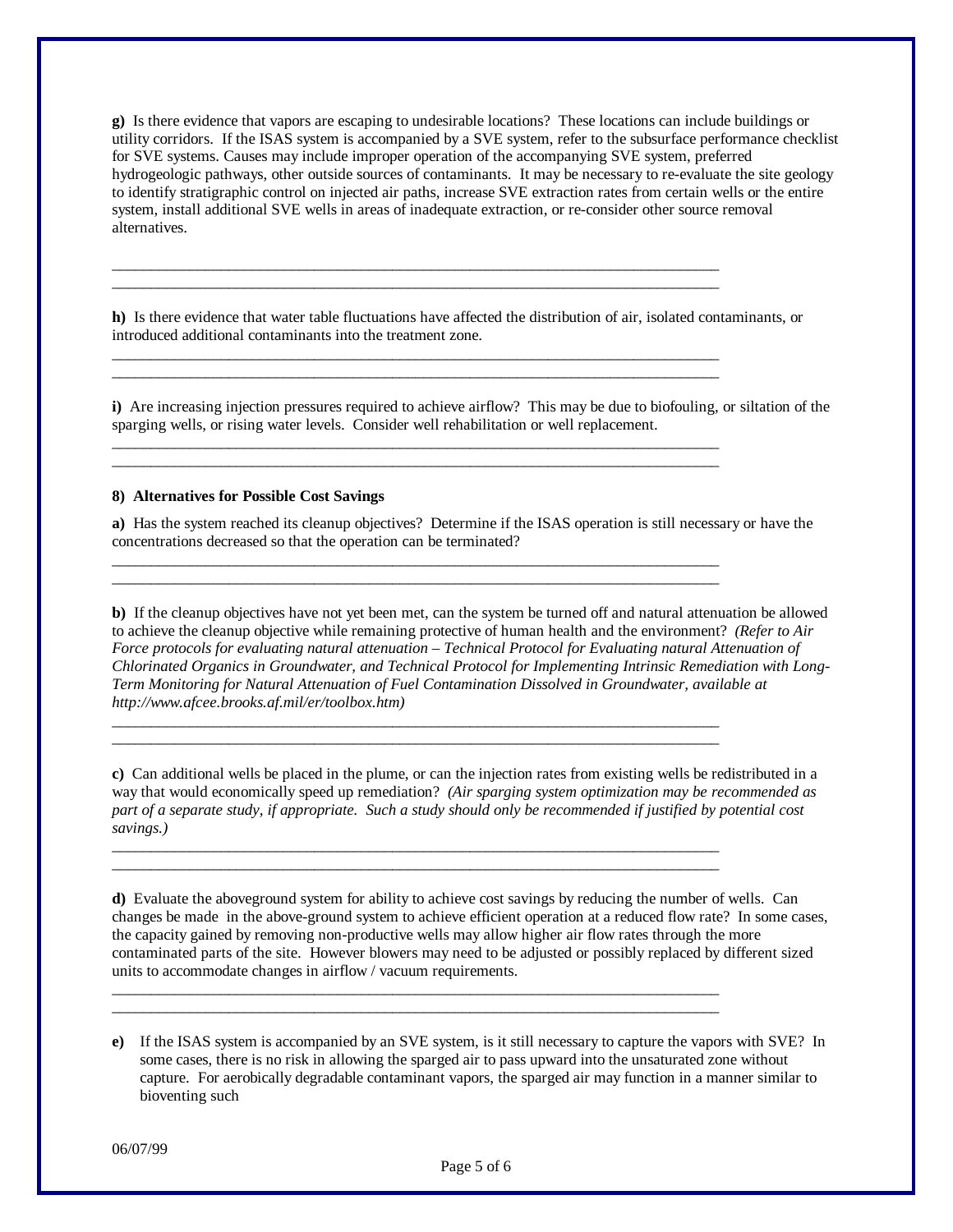**g)** Is there evidence that vapors are escaping to undesirable locations? These locations can include buildings or utility corridors. If the ISAS system is accompanied by a SVE system, refer to the subsurface performance checklist for SVE systems. Causes may include improper operation of the accompanying SVE system, preferred hydrogeologic pathways, other outside sources of contaminants. It may be necessary to re-evaluate the site geology to identify stratigraphic control on injected air paths, increase SVE extraction rates from certain wells or the entire system, install additional SVE wells in areas of inadequate extraction, or re-consider other source removal alternatives.

**h)** Is there evidence that water table fluctuations have affected the distribution of air, isolated contaminants, or introduced additional contaminants into the treatment zone.

\_\_\_\_\_\_\_\_\_\_\_\_\_\_\_\_\_\_\_\_\_\_\_\_\_\_\_\_\_\_\_\_\_\_\_\_\_\_\_\_\_\_\_\_\_\_\_\_\_\_\_\_\_\_\_\_\_\_\_\_\_\_\_\_\_\_\_\_\_\_\_\_\_\_\_\_\_\_ \_\_\_\_\_\_\_\_\_\_\_\_\_\_\_\_\_\_\_\_\_\_\_\_\_\_\_\_\_\_\_\_\_\_\_\_\_\_\_\_\_\_\_\_\_\_\_\_\_\_\_\_\_\_\_\_\_\_\_\_\_\_\_\_\_\_\_\_\_\_\_\_\_\_\_\_\_\_

\_\_\_\_\_\_\_\_\_\_\_\_\_\_\_\_\_\_\_\_\_\_\_\_\_\_\_\_\_\_\_\_\_\_\_\_\_\_\_\_\_\_\_\_\_\_\_\_\_\_\_\_\_\_\_\_\_\_\_\_\_\_\_\_\_\_\_\_\_\_\_\_\_\_\_\_\_\_ \_\_\_\_\_\_\_\_\_\_\_\_\_\_\_\_\_\_\_\_\_\_\_\_\_\_\_\_\_\_\_\_\_\_\_\_\_\_\_\_\_\_\_\_\_\_\_\_\_\_\_\_\_\_\_\_\_\_\_\_\_\_\_\_\_\_\_\_\_\_\_\_\_\_\_\_\_\_

\_\_\_\_\_\_\_\_\_\_\_\_\_\_\_\_\_\_\_\_\_\_\_\_\_\_\_\_\_\_\_\_\_\_\_\_\_\_\_\_\_\_\_\_\_\_\_\_\_\_\_\_\_\_\_\_\_\_\_\_\_\_\_\_\_\_\_\_\_\_\_\_\_\_\_\_\_\_ \_\_\_\_\_\_\_\_\_\_\_\_\_\_\_\_\_\_\_\_\_\_\_\_\_\_\_\_\_\_\_\_\_\_\_\_\_\_\_\_\_\_\_\_\_\_\_\_\_\_\_\_\_\_\_\_\_\_\_\_\_\_\_\_\_\_\_\_\_\_\_\_\_\_\_\_\_\_

\_\_\_\_\_\_\_\_\_\_\_\_\_\_\_\_\_\_\_\_\_\_\_\_\_\_\_\_\_\_\_\_\_\_\_\_\_\_\_\_\_\_\_\_\_\_\_\_\_\_\_\_\_\_\_\_\_\_\_\_\_\_\_\_\_\_\_\_\_\_\_\_\_\_\_\_\_\_ \_\_\_\_\_\_\_\_\_\_\_\_\_\_\_\_\_\_\_\_\_\_\_\_\_\_\_\_\_\_\_\_\_\_\_\_\_\_\_\_\_\_\_\_\_\_\_\_\_\_\_\_\_\_\_\_\_\_\_\_\_\_\_\_\_\_\_\_\_\_\_\_\_\_\_\_\_\_

\_\_\_\_\_\_\_\_\_\_\_\_\_\_\_\_\_\_\_\_\_\_\_\_\_\_\_\_\_\_\_\_\_\_\_\_\_\_\_\_\_\_\_\_\_\_\_\_\_\_\_\_\_\_\_\_\_\_\_\_\_\_\_\_\_\_\_\_\_\_\_\_\_\_\_\_\_\_ \_\_\_\_\_\_\_\_\_\_\_\_\_\_\_\_\_\_\_\_\_\_\_\_\_\_\_\_\_\_\_\_\_\_\_\_\_\_\_\_\_\_\_\_\_\_\_\_\_\_\_\_\_\_\_\_\_\_\_\_\_\_\_\_\_\_\_\_\_\_\_\_\_\_\_\_\_\_

\_\_\_\_\_\_\_\_\_\_\_\_\_\_\_\_\_\_\_\_\_\_\_\_\_\_\_\_\_\_\_\_\_\_\_\_\_\_\_\_\_\_\_\_\_\_\_\_\_\_\_\_\_\_\_\_\_\_\_\_\_\_\_\_\_\_\_\_\_\_\_\_\_\_\_\_\_\_ \_\_\_\_\_\_\_\_\_\_\_\_\_\_\_\_\_\_\_\_\_\_\_\_\_\_\_\_\_\_\_\_\_\_\_\_\_\_\_\_\_\_\_\_\_\_\_\_\_\_\_\_\_\_\_\_\_\_\_\_\_\_\_\_\_\_\_\_\_\_\_\_\_\_\_\_\_\_

\_\_\_\_\_\_\_\_\_\_\_\_\_\_\_\_\_\_\_\_\_\_\_\_\_\_\_\_\_\_\_\_\_\_\_\_\_\_\_\_\_\_\_\_\_\_\_\_\_\_\_\_\_\_\_\_\_\_\_\_\_\_\_\_\_\_\_\_\_\_\_\_\_\_\_\_\_\_ \_\_\_\_\_\_\_\_\_\_\_\_\_\_\_\_\_\_\_\_\_\_\_\_\_\_\_\_\_\_\_\_\_\_\_\_\_\_\_\_\_\_\_\_\_\_\_\_\_\_\_\_\_\_\_\_\_\_\_\_\_\_\_\_\_\_\_\_\_\_\_\_\_\_\_\_\_\_

**i)** Are increasing injection pressures required to achieve airflow? This may be due to biofouling, or siltation of the sparging wells, or rising water levels. Consider well rehabilitation or well replacement.

### **8) Alternatives for Possible Cost Savings**

**a)** Has the system reached its cleanup objectives? Determine if the ISAS operation is still necessary or have the concentrations decreased so that the operation can be terminated?

**b)** If the cleanup objectives have not yet been met, can the system be turned off and natural attenuation be allowed to achieve the cleanup objective while remaining protective of human health and the environment? *(Refer to Air Force protocols for evaluating natural attenuation – Technical Protocol for Evaluating natural Attenuation of Chlorinated Organics in Groundwater, and Technical Protocol for Implementing Intrinsic Remediation with Long-Term Monitoring for Natural Attenuation of Fuel Contamination Dissolved in Groundwater, available at http://www.afcee.brooks.af.mil/er/toolbox.htm)*

**c)** Can additional wells be placed in the plume, or can the injection rates from existing wells be redistributed in a way that would economically speed up remediation? *(Air sparging system optimization may be recommended as part of a separate study, if appropriate. Such a study should only be recommended if justified by potential cost savings.)*

**d)** Evaluate the aboveground system for ability to achieve cost savings by reducing the number of wells. Can changes be made in the above-ground system to achieve efficient operation at a reduced flow rate? In some cases, the capacity gained by removing non-productive wells may allow higher air flow rates through the more contaminated parts of the site. However blowers may need to be adjusted or possibly replaced by different sized units to accommodate changes in airflow / vacuum requirements.

**e)** If the ISAS system is accompanied by an SVE system, is it still necessary to capture the vapors with SVE? In some cases, there is no risk in allowing the sparged air to pass upward into the unsaturated zone without capture. For aerobically degradable contaminant vapors, the sparged air may function in a manner similar to bioventing such